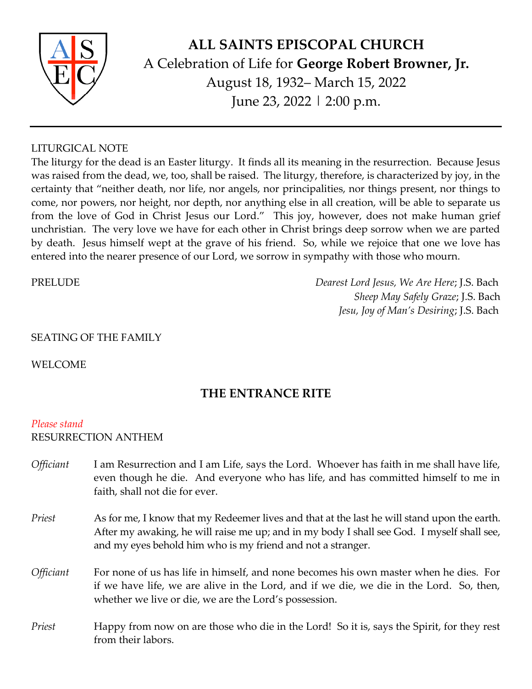

# **ALL SAINTS EPISCOPAL CHURCH** A Celebration of Life for **George Robert Browner, Jr.** August 18, 1932– March 15, 2022 June 23, 2022 | 2:00 p.m.

### LITURGICAL NOTE

The liturgy for the dead is an Easter liturgy. It finds all its meaning in the resurrection. Because Jesus was raised from the dead, we, too, shall be raised. The liturgy, therefore, is characterized by joy, in the certainty that "neither death, nor life, nor angels, nor principalities, nor things present, nor things to come, nor powers, nor height, nor depth, nor anything else in all creation, will be able to separate us from the love of God in Christ Jesus our Lord." This joy, however, does not make human grief unchristian. The very love we have for each other in Christ brings deep sorrow when we are parted by death. Jesus himself wept at the grave of his friend. So, while we rejoice that one we love has entered into the nearer presence of our Lord, we sorrow in sympathy with those who mourn.

PRELUDE *Dearest Lord Jesus, We Are Here*; J.S. Bach *Sheep May Safely Graze*; J.S. Bach *Jesu, Joy of Man's Desiring*; J.S. Bach

### SEATING OF THE FAMILY

WELCOME

## **THE ENTRANCE RITE**

#### *Please stand*

#### RESURRECTION ANTHEM

- *Officiant* I am Resurrection and I am Life, says the Lord. Whoever has faith in me shall have life, even though he die. And everyone who has life, and has committed himself to me in faith, shall not die for ever.
- *Priest* As for me, I know that my Redeemer lives and that at the last he will stand upon the earth. After my awaking, he will raise me up; and in my body I shall see God. I myself shall see, and my eyes behold him who is my friend and not a stranger.
- *Officiant* For none of us has life in himself, and none becomes his own master when he dies. For if we have life, we are alive in the Lord, and if we die, we die in the Lord. So, then, whether we live or die, we are the Lord's possession.
- *Priest* Happy from now on are those who die in the Lord! So it is, says the Spirit, for they rest from their labors.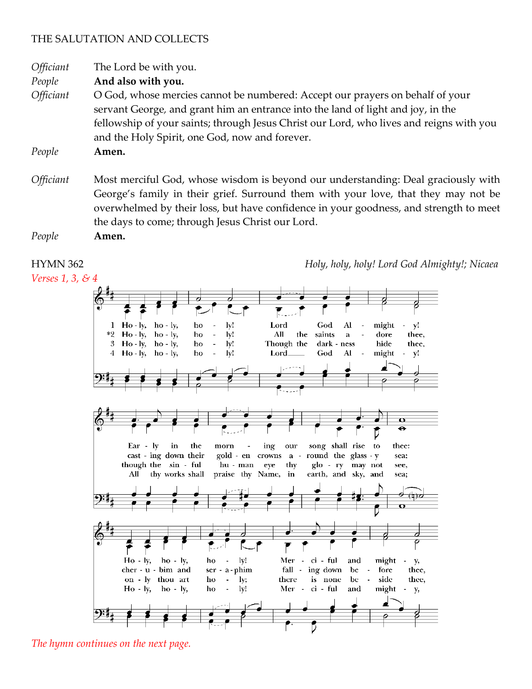### THE SALUTATION AND COLLECTS

*Officiant* The Lord be with you.

*People* **And also with you.**

*Officiant* O God, whose mercies cannot be numbered: Accept our prayers on behalf of your servant George*,* and grant him an entrance into the land of light and joy, in the fellowship of your saints; through Jesus Christ our Lord, who lives and reigns with you and the Holy Spirit, one God, now and forever.

*People* **Amen.**

*Officiant* Most merciful God, whose wisdom is beyond our understanding: Deal graciously with George's family in their grief. Surround them with your love, that they may not be overwhelmed by their loss, but have confidence in your goodness, and strength to meet the days to come; through Jesus Christ our Lord.

*People* **Amen.**

*Verses 1, 3, & 4*

HYMN 362 *Holy, holy, holy! Lord God Almighty!; Nicaea*



*The hymn continues on the next page.*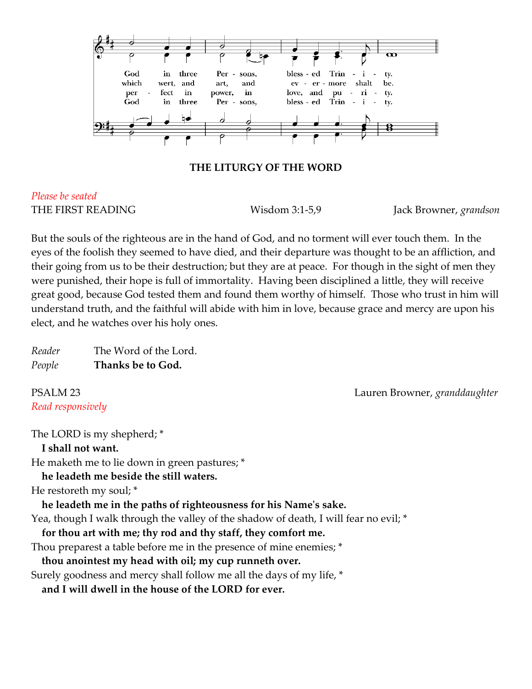

#### **THE LITURGY OF THE WORD**

# *Please be seated*

THE FIRST READING Wisdom 3:1-5,9 Jack Browner, *grandson*

But the souls of the righteous are in the hand of God, and no torment will ever touch them. In the eyes of the foolish they seemed to have died, and their departure was thought to be an affliction, and their going from us to be their destruction; but they are at peace. For though in the sight of men they were punished, their hope is full of immortality. Having been disciplined a little, they will receive great good, because God tested them and found them worthy of himself. Those who trust in him will understand truth, and the faithful will abide with him in love, because grace and mercy are upon his elect, and he watches over his holy ones.

| Reader | The Word of the Lord. |
|--------|-----------------------|
| People | Thanks be to God.     |

*Read responsively*

PSALM 23 Lauren Browner, *granddaughter*

The LORD is my shepherd; \* **I shall not want.** He maketh me to lie down in green pastures; \* **he leadeth me beside the still waters.** He restoreth my soul; \* **he leadeth me in the paths of righteousness for his Name's sake.** Yea, though I walk through the valley of the shadow of death, I will fear no evil; \* **for thou art with me; thy rod and thy staff, they comfort me.** Thou preparest a table before me in the presence of mine enemies; \* **thou anointest my head with oil; my cup runneth over.** Surely goodness and mercy shall follow me all the days of my life, \*

**and I will dwell in the house of the LORD for ever.**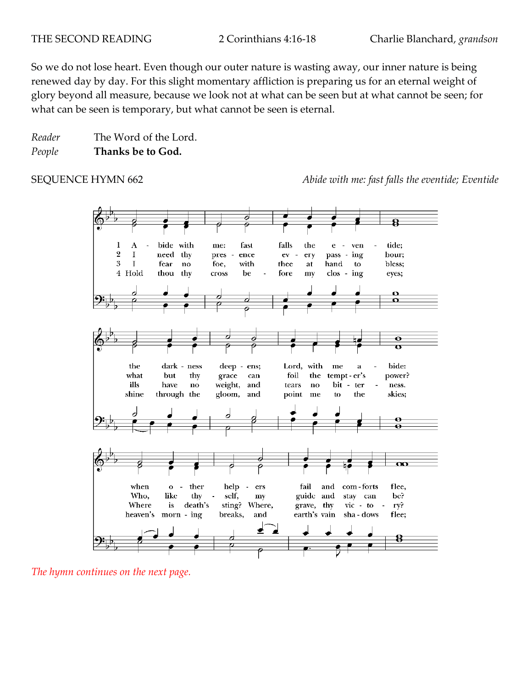So we do not lose heart. Even though our outer nature is wasting away, our inner nature is being renewed day by day. For this slight momentary affliction is preparing us for an eternal weight of glory beyond all measure, because we look not at what can be seen but at what cannot be seen; for what can be seen is temporary, but what cannot be seen is eternal.

*Reader* The Word of the Lord. *People* **Thanks be to God.**

SEQUENCE HYMN 662 *Abide with me: fast falls the eventide; Eventide*



*The hymn continues on the next page.*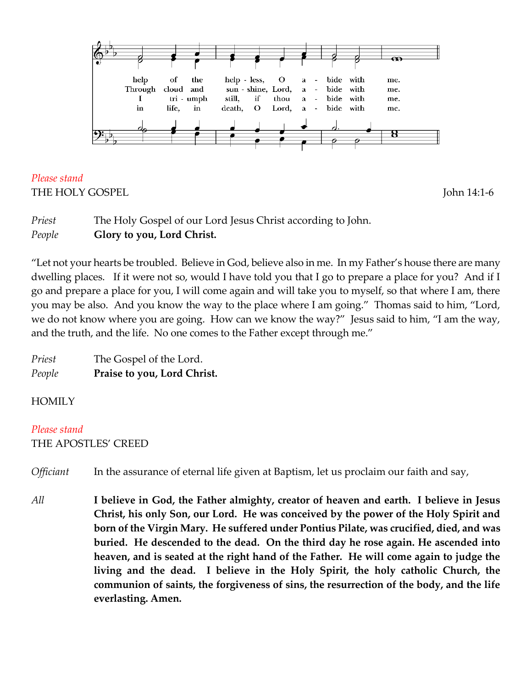

*Please stand* THE HOLY GOSPEL THE HOLY GOSPEL

*Priest* The Holy Gospel of our Lord Jesus Christ according to John. *People* **Glory to you, Lord Christ.**

"Let not your hearts be troubled. Believe in God, believe also in me. In my Father's house there are many dwelling places. If it were not so, would I have told you that I go to prepare a place for you? And if I go and prepare a place for you, I will come again and will take you to myself, so that where I am, there you may be also. And you know the way to the place where I am going." Thomas said to him, "Lord, we do not know where you are going. How can we know the way?" Jesus said to him, "I am the way, and the truth, and the life. No one comes to the Father except through me."

| Priest | The Gospel of the Lord.     |
|--------|-----------------------------|
| People | Praise to you, Lord Christ. |

### **HOMILY**

*Please stand*  THE APOSTLES' CREED

*Officiant* In the assurance of eternal life given at Baptism, let us proclaim our faith and say,

*All* **I believe in God, the Father almighty, creator of heaven and earth. I believe in Jesus Christ, his only Son, our Lord. He was conceived by the power of the Holy Spirit and born of the Virgin Mary. He suffered under Pontius Pilate, was crucified, died, and was buried. He descended to the dead. On the third day he rose again. He ascended into heaven, and is seated at the right hand of the Father. He will come again to judge the living and the dead. I believe in the Holy Spirit, the holy catholic Church, the communion of saints, the forgiveness of sins, the resurrection of the body, and the life everlasting. Amen.**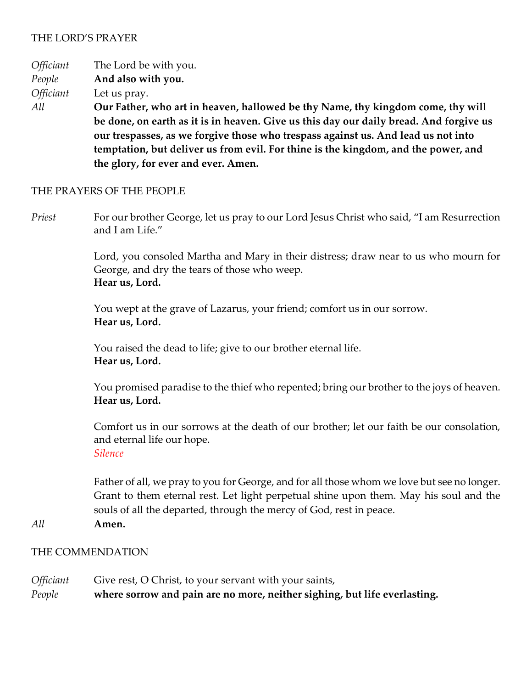### THE LORD'S PRAYER

*Officiant* The Lord be with you.

*People* **And also with you.**

*Officiant* Let us pray.

*All* **Our Father, who art in heaven, hallowed be thy Name, thy kingdom come, thy will be done, on earth as it is in heaven. Give us this day our daily bread. And forgive us our trespasses, as we forgive those who trespass against us. And lead us not into temptation, but deliver us from evil. For thine is the kingdom, and the power, and the glory, for ever and ever. Amen.**

#### THE PRAYERS OF THE PEOPLE

*Priest* For our brother George, let us pray to our Lord Jesus Christ who said, "I am Resurrection and I am Life."

> Lord, you consoled Martha and Mary in their distress; draw near to us who mourn for George, and dry the tears of those who weep. **Hear us, Lord.**

You wept at the grave of Lazarus, your friend; comfort us in our sorrow. **Hear us, Lord.**

You raised the dead to life; give to our brother eternal life. **Hear us, Lord.**

You promised paradise to the thief who repented; bring our brother to the joys of heaven. **Hear us, Lord.**

Comfort us in our sorrows at the death of our brother; let our faith be our consolation, and eternal life our hope. *Silence*

Father of all, we pray to you for George, and for all those whom we love but see no longer. Grant to them eternal rest. Let light perpetual shine upon them. May his soul and the souls of all the departed, through the mercy of God, rest in peace.

*All* **Amen.**

#### THE COMMENDATION

| <i><b>Officiant</b></i> | Give rest, O Christ, to your servant with your saints,                    |
|-------------------------|---------------------------------------------------------------------------|
| People                  | where sorrow and pain are no more, neither sighing, but life everlasting. |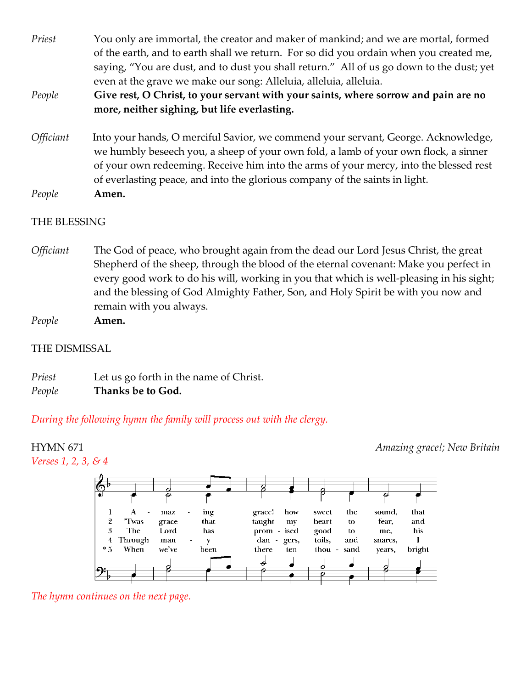*Priest* You only are immortal, the creator and maker of mankind; and we are mortal, formed of the earth, and to earth shall we return. For so did you ordain when you created me, saying, "You are dust, and to dust you shall return." All of us go down to the dust; yet even at the grave we make our song: Alleluia, alleluia, alleluia.

### *People* **Give rest, O Christ, to your servant with your saints, where sorrow and pain are no more, neither sighing, but life everlasting.**

*Officiant*Into your hands, O merciful Savior, we commend your servant, George. Acknowledge, we humbly beseech you, a sheep of your own fold, a lamb of your own flock, a sinner of your own redeeming. Receive him into the arms of your mercy, into the blessed rest of everlasting peace, and into the glorious company of the saints in light. *People* **Amen.**

#### THE BLESSING

- *Officiant* The God of peace, who brought again from the dead our Lord Jesus Christ, the great Shepherd of the sheep, through the blood of the eternal covenant: Make you perfect in every good work to do his will, working in you that which is well-pleasing in his sight; and the blessing of God Almighty Father, Son, and Holy Spirit be with you now and remain with you always.
- *People* **Amen.**

#### THE DISMISSAL

*Priest* Let us go forth in the name of Christ. *People* **Thanks be to God.** 

*During the following hymn the family will process out with the clergy.*

HYMN 671 *Amazing grace!; New Britain*



*The hymn continues on the next page.*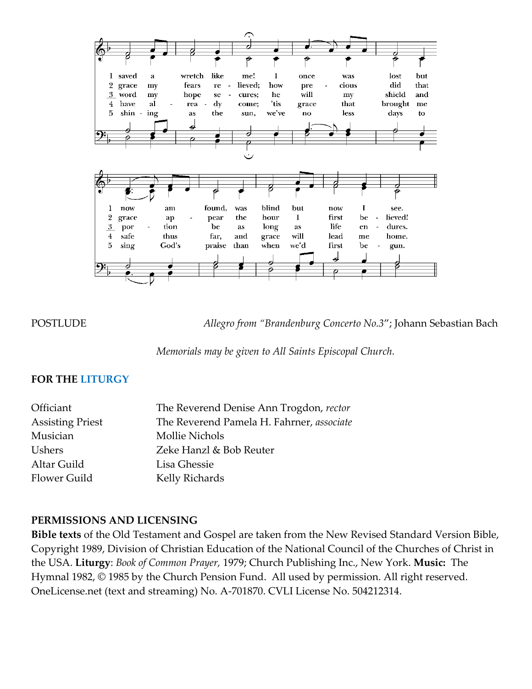

POSTLUDE *Allegro from "Brandenburg Concerto No.3*"; Johann Sebastian Bach

*Memorials may be given to All Saints Episcopal Church.*

#### **FOR THE LITURGY**

| Officiant               | The Reverend Denise Ann Trogdon, rector   |
|-------------------------|-------------------------------------------|
| <b>Assisting Priest</b> | The Reverend Pamela H. Fahrner, associate |
| Musician                | Mollie Nichols                            |
| <b>Ushers</b>           | Zeke Hanzl & Bob Reuter                   |
| Altar Guild             | Lisa Ghessie                              |
| <b>Flower Guild</b>     | Kelly Richards                            |

### **PERMISSIONS AND LICENSING**

**Bible texts** of the Old Testament and Gospel are taken from the New Revised Standard Version Bible, Copyright 1989, Division of Christian Education of the National Council of the Churches of Christ in the USA. **Liturgy**: *Book of Common Prayer,* 1979; Church Publishing Inc., New York. **Music:** The Hymnal 1982, © 1985 by the Church Pension Fund. All used by permission. All right reserved. OneLicense.net (text and streaming) No. A-701870. CVLI License No. 504212314.